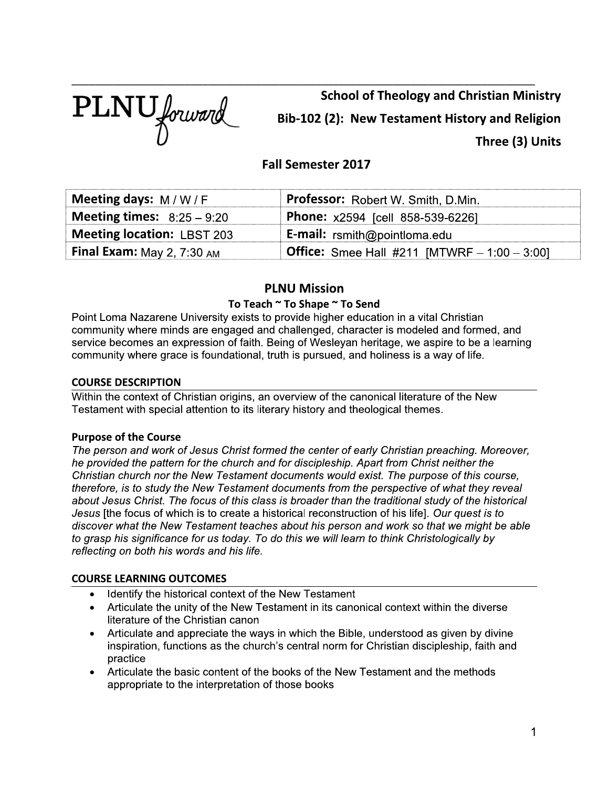

**School of Theology and Christian Ministry** Bib-102 (2): New Testament History and Religion Three (3) Units

# **Fall Semester 2017**

| Meeting days: $M/W/F$                       | Professor: Robert W. Smith, D.Min.                     |
|---------------------------------------------|--------------------------------------------------------|
| <b>Meeting times:</b> $8:25-9:20$           | Phone: x2594 [cell 858-539-6226]                       |
| <b>Meeting location: LBST 203</b>           | <b>E-mail:</b> $r$ smith@pointloma.edu                 |
| <b>Final Exam:</b> May 2, $7:30 \text{ AM}$ | <b>Office:</b> Smee Hall #211 [MTWRF $- 1:00 - 3:00$ ] |

# **PLNU Mission**

# To Teach ~ To Shape ~ To Send

Point Loma Nazarene University exists to provide higher education in a vital Christian community where minds are engaged and challenged, character is modeled and formed, and service becomes an expression of faith. Being of Wesleyan heritage, we aspire to be a learning community where grace is foundational, truth is pursued, and holiness is a way of life.

# **COURSE DESCRIPTION**

Within the context of Christian origins, an overview of the canonical literature of the New Testament with special attention to its literary history and theological themes.

# **Purpose of the Course**

The person and work of Jesus Christ formed the center of early Christian preaching. Moreover, he provided the pattern for the church and for discipleship. Apart from Christ neither the Christian church nor the New Testament documents would exist. The purpose of this course, therefore, is to study the New Testament documents from the perspective of what they reveal about Jesus Christ. The focus of this class is broader than the traditional study of the historical Jesus [the focus of which is to create a historical reconstruction of his life]. Our quest is to discover what the New Testament teaches about his person and work so that we might be able to grasp his significance for us today. To do this we will learn to think Christologically by reflecting on both his words and his life.

# **COURSE LEARNING OUTCOMES**

- Identify the historical context of the New Testament
- Articulate the unity of the New Testament in its canonical context within the diverse literature of the Christian canon
- Articulate and appreciate the ways in which the Bible, understood as given by divine inspiration, functions as the church's central norm for Christian discipleship, faith and practice
- Articulate the basic content of the books of the New Testament and the methods appropriate to the interpretation of those books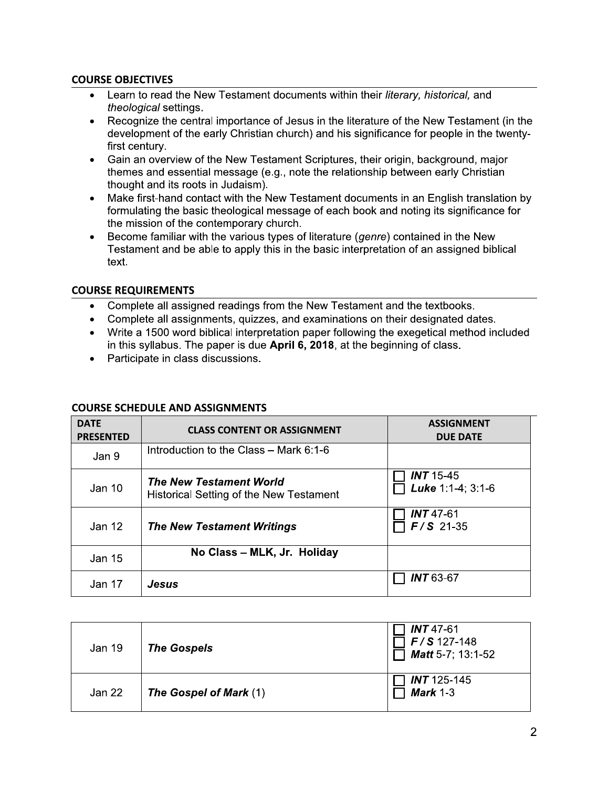# **COURSE OBJECTIVES**

- Learn to read the New Testament documents within their literary, historical, and *theological* settings.
- Recognize the central importance of Jesus in the literature of the New Testament (in the  $\bullet$ development of the early Christian church) and his significance for people in the twentyfirst century.
- Gain an overview of the New Testament Scriptures, their origin, background, major  $\bullet$ themes and essential message (e.g., note the relationship between early Christian thought and its roots in Judaism).
- Make first-hand contact with the New Testament documents in an English translation by  $\bullet$ formulating the basic theological message of each book and noting its significance for the mission of the contemporary church.
- Become familiar with the various types of literature (genre) contained in the New  $\bullet$ Testament and be able to apply this in the basic interpretation of an assigned biblical text.

# **COURSE REQUIREMENTS**

- Complete all assigned readings from the New Testament and the textbooks.
- Complete all assignments, quizzes, and examinations on their designated dates.
- Write a 1500 word biblical interpretation paper following the exegetical method included in this syllabus. The paper is due April 6, 2018, at the beginning of class.
- Participate in class discussions.

# **COURSE SCHEDULE AND ASSIGNMENTS**

| <b>DATE</b><br><b>PRESENTED</b> | <b>CLASS CONTENT OR ASSIGNMENT</b>                                        | <b>ASSIGNMENT</b><br><b>DUE DATE</b>  |
|---------------------------------|---------------------------------------------------------------------------|---------------------------------------|
| Jan 9                           | Introduction to the Class - Mark 6:1-6                                    |                                       |
| Jan 10                          | <b>The New Testament World</b><br>Historical Setting of the New Testament | <b>INT</b> 15-45<br>Luke 1:1-4; 3:1-6 |
| Jan 12                          | <b>The New Testament Writings</b>                                         | $INT 47-61$<br>$F/S$ 21-35            |
| Jan 15                          | No Class - MLK, Jr. Holiday                                               |                                       |
| Jan 17                          | Jesus                                                                     | <b>INT 63-67</b>                      |

| Jan 19 | <b>The Gospels</b>     | $INT 47-61$<br>$F/S$ 127-148<br>Matt 5-7; 13:1-52 |
|--------|------------------------|---------------------------------------------------|
| Jan 22 | The Gospel of Mark (1) | $INT 125-145$<br>Mark $1-3$                       |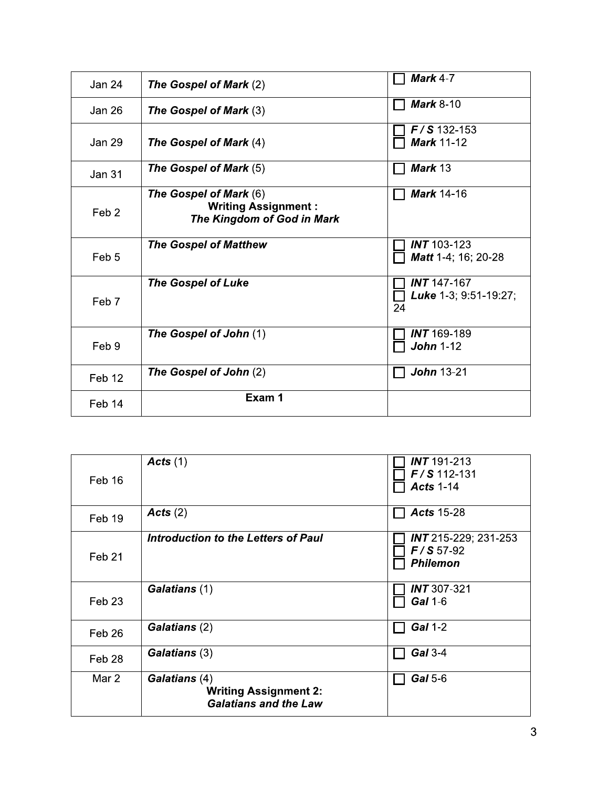| <b>Jan 24</b>    | <b>The Gospel of Mark (2)</b>                                                      | <b>Mark 4-7</b>                              |
|------------------|------------------------------------------------------------------------------------|----------------------------------------------|
| Jan 26           | <b>The Gospel of Mark (3)</b>                                                      | <b>Mark 8-10</b>                             |
| Jan 29           | The Gospel of Mark (4)                                                             | $F/S$ 132-153<br><b>Mark 11-12</b>           |
| <b>Jan 31</b>    | The Gospel of Mark (5)                                                             | Mark 13                                      |
| Feb <sub>2</sub> | The Gospel of Mark (6)<br><b>Writing Assignment:</b><br>The Kingdom of God in Mark | Mark 14-16                                   |
| Feb <sub>5</sub> | <b>The Gospel of Matthew</b>                                                       | $INT 103-123$<br>Matt 1-4; 16; 20-28         |
| Feb 7            | <b>The Gospel of Luke</b>                                                          | $INT 147-167$<br>Luke 1-3; 9:51-19:27;<br>24 |
| Feb 9            | The Gospel of John (1)                                                             | <b>INT</b> 169-189<br><b>John 1-12</b>       |
| Feb 12           | The Gospel of John (2)                                                             | <b>John 13-21</b>                            |
| Feb 14           | Exam 1                                                                             |                                              |

| Feb 16            | Acts(1)                                                                       | $INT 191-213$<br>$F/S$ 112-131<br><b>Acts 1-14</b>            |
|-------------------|-------------------------------------------------------------------------------|---------------------------------------------------------------|
| Feb 19            | Acts(2)                                                                       | <b>Acts 15-28</b>                                             |
| Feb <sub>21</sub> | <b>Introduction to the Letters of Paul</b>                                    | <b>INT</b> 215-229; 231-253<br>$F/S 57-92$<br><b>Philemon</b> |
| Feb <sub>23</sub> | Galatians (1)                                                                 | $INT 307-321$<br>Gal 1-6                                      |
| Feb 26            | Galatians (2)                                                                 | Gal 1-2                                                       |
| Feb 28            | Galatians (3)                                                                 | Gal 3-4                                                       |
| Mar 2             | Galatians (4)<br><b>Writing Assignment 2:</b><br><b>Galatians and the Law</b> | Gal 5-6                                                       |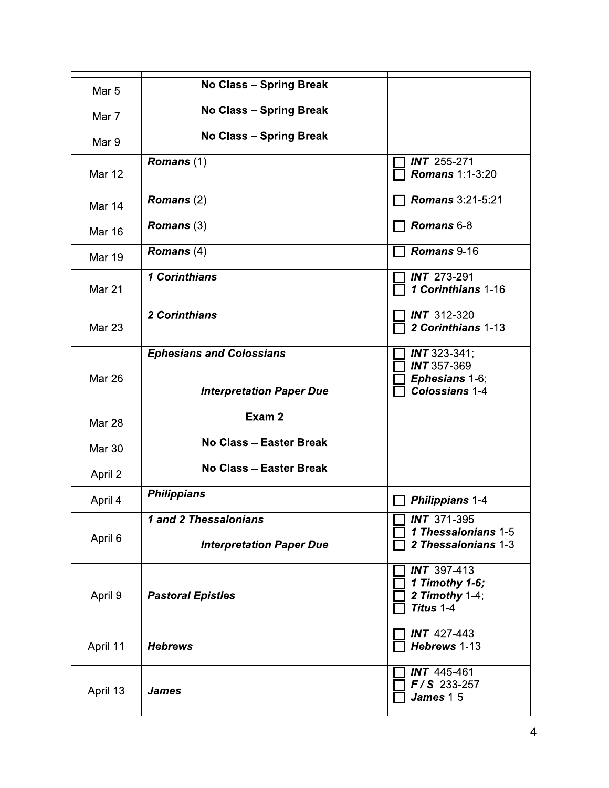| Mar 5         | <b>No Class - Spring Break</b>                                     |                                                                                      |
|---------------|--------------------------------------------------------------------|--------------------------------------------------------------------------------------|
| Mar 7         | <b>No Class - Spring Break</b>                                     |                                                                                      |
| Mar 9         | <b>No Class - Spring Break</b>                                     |                                                                                      |
| <b>Mar 12</b> | Romans (1)                                                         | <b>INT</b> 255-271<br><b>Romans 1:1-3:20</b>                                         |
| Mar 14        | Romans $(2)$                                                       | <b>Romans 3:21-5:21</b>                                                              |
| <b>Mar 16</b> | Romans $(3)$                                                       | Romans 6-8                                                                           |
| <b>Mar 19</b> | Romans $(4)$                                                       | Romans 9-16                                                                          |
| <b>Mar 21</b> | 1 Corinthians                                                      | <b>INT</b> 273-291<br>1 Corinthians 1-16                                             |
| Mar 23        | 2 Corinthians                                                      | $INT$ 312-320<br>2 Corinthians 1-13                                                  |
| <b>Mar 26</b> | <b>Ephesians and Colossians</b><br><b>Interpretation Paper Due</b> | <b>INT</b> 323-341;<br><b>INT 357-369</b><br>Ephesians 1-6;<br><b>Colossians 1-4</b> |
| <b>Mar 28</b> | Exam 2                                                             |                                                                                      |
| <b>Mar 30</b> | No Class - Easter Break                                            |                                                                                      |
| April 2       | No Class - Easter Break                                            |                                                                                      |
| April 4       | <b>Philippians</b>                                                 | Philippians 1-4                                                                      |
| April 6       | 1 and 2 Thessalonians<br><b>Interpretation Paper Due</b>           | $\sqrt{N}$ $\sqrt{N}$ 371-395<br>1 Thessalonians 1-5<br>2 Thessalonians 1-3          |
| April 9       | <b>Pastoral Epistles</b>                                           | <b>INT</b> 397-413<br>1 Timothy 1-6;<br>2 Timothy 1-4;<br>Titus 1-4                  |
| April 11      | <b>Hebrews</b>                                                     | <b>INT</b> 427-443<br>Hebrews 1-13                                                   |
| April 13      | <b>James</b>                                                       | <b>INT</b> 445-461<br>$F/S$ 233-257<br>James 1-5                                     |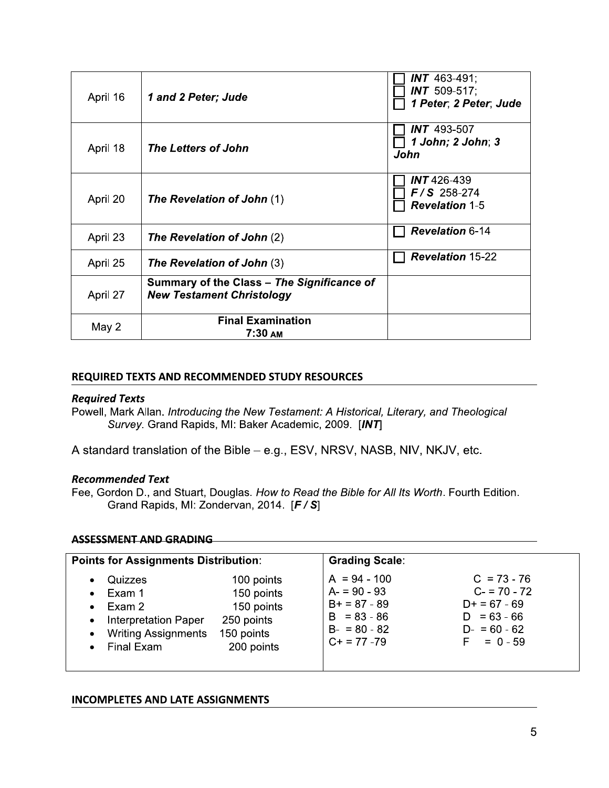| April 16 | 1 and 2 Peter; Jude                                                            | <b>INT</b> 463-491;<br><b>INT</b> 509-517;<br>1 Peter, 2 Peter, Jude |
|----------|--------------------------------------------------------------------------------|----------------------------------------------------------------------|
| April 18 | <b>The Letters of John</b>                                                     | <b>INT</b> 493-507<br>1 John; 2 John; 3<br>John                      |
| April 20 | <b>The Revelation of John (1)</b>                                              | $INT 426-439$<br>$F/S$ 258-274<br><b>Revelation 1-5</b>              |
| April 23 | <b>The Revelation of John (2)</b>                                              | <b>Revelation 6-14</b>                                               |
| April 25 | <b>The Revelation of John</b> (3)                                              | <b>Revelation 15-22</b>                                              |
| April 27 | Summary of the Class - The Significance of<br><b>New Testament Christology</b> |                                                                      |
| May 2    | <b>Final Examination</b><br>$7:30$ AM                                          |                                                                      |

### REQUIRED TEXTS AND RECOMMENDED STUDY RESOURCES

#### **Required Texts**

Powell, Mark Allan. Introducing the New Testament: A Historical, Literary, and Theological Survey. Grand Rapids, MI: Baker Academic, 2009. [INT]

A standard translation of the Bible - e.g., ESV, NRSV, NASB, NIV, NKJV, etc.

#### **Recommended Text**

Fee, Gordon D., and Stuart, Douglas. How to Read the Bible for All Its Worth. Fourth Edition. Grand Rapids, MI: Zondervan, 2014. [F / S]

#### **ASSESSMENT AND GRADING**

| <b>Points for Assignments Distribution:</b>                                                                                                                        |                                                                                  | <b>Grading Scale:</b>                                                                                 |                                                                                                    |
|--------------------------------------------------------------------------------------------------------------------------------------------------------------------|----------------------------------------------------------------------------------|-------------------------------------------------------------------------------------------------------|----------------------------------------------------------------------------------------------------|
| Quizzes<br>$\bullet$<br>Exam 1<br>$\bullet$<br>Exam 2<br>$\bullet$<br><b>Interpretation Paper</b><br>$\bullet$<br>• Writing Assignments<br>Final Exam<br>$\bullet$ | 100 points<br>150 points<br>150 points<br>250 points<br>150 points<br>200 points | $A = 94 - 100$<br>$A = 90 - 93$<br>$B+ = 87 - 89$<br>$B = 83 - 86$<br>$B - 80 - 82$<br>$C+ = 77 - 79$ | $C = 73 - 76$<br>$C - 70 - 72$<br>$D+ = 67 - 69$<br>$D = 63 - 66$<br>$D - 60 - 62$<br>$F = 0 - 59$ |

#### **INCOMPLETES AND LATE ASSIGNMENTS**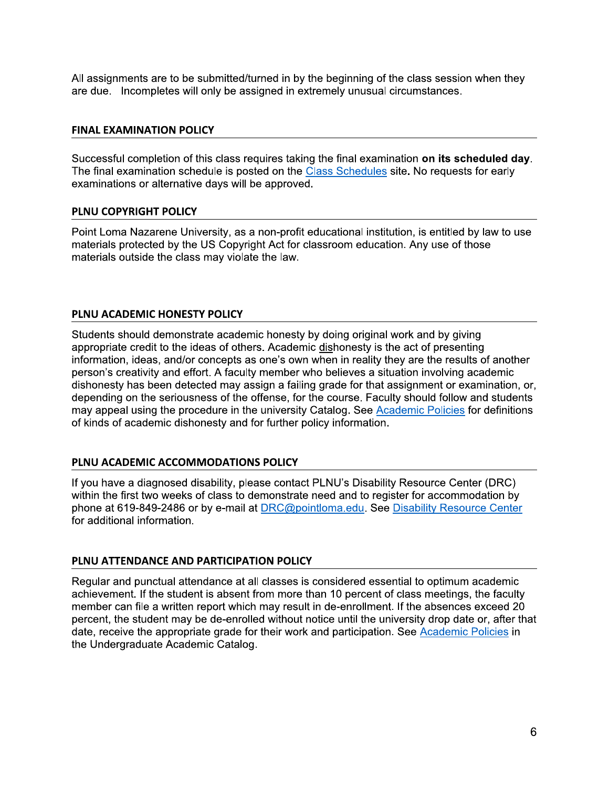All assignments are to be submitted/turned in by the beginning of the class session when they are due. Incompletes will only be assigned in extremely unusual circumstances.

#### **FINAL EXAMINATION POLICY**

Successful completion of this class requires taking the final examination on its scheduled day. The final examination schedule is posted on the Class Schedules site. No requests for early examinations or alternative days will be approved.

# PLNU COPYRIGHT POLICY

Point Loma Nazarene University, as a non-profit educational institution, is entitled by law to use materials protected by the US Copyright Act for classroom education. Any use of those materials outside the class may violate the law.

# PLNU ACADEMIC HONESTY POLICY

Students should demonstrate academic honesty by doing original work and by giving appropriate credit to the ideas of others. Academic dishonesty is the act of presenting information, ideas, and/or concepts as one's own when in reality they are the results of another person's creativity and effort. A faculty member who believes a situation involving academic dishonesty has been detected may assign a failing grade for that assignment or examination, or, depending on the seriousness of the offense, for the course. Faculty should follow and students may appeal using the procedure in the university Catalog. See Academic Policies for definitions of kinds of academic dishonesty and for further policy information.

# PLNU ACADEMIC ACCOMMODATIONS POLICY

If you have a diagnosed disability, please contact PLNU's Disability Resource Center (DRC) within the first two weeks of class to demonstrate need and to register for accommodation by phone at 619-849-2486 or by e-mail at DRC@pointloma.edu. See Disability Resource Center for additional information.

# PLNU ATTENDANCE AND PARTICIPATION POLICY

Regular and punctual attendance at all classes is considered essential to optimum academic achievement. If the student is absent from more than 10 percent of class meetings, the faculty member can file a written report which may result in de-enrollment. If the absences exceed 20 percent, the student may be de-enrolled without notice until the university drop date or, after that date, receive the appropriate grade for their work and participation. See Academic Policies in the Undergraduate Academic Catalog.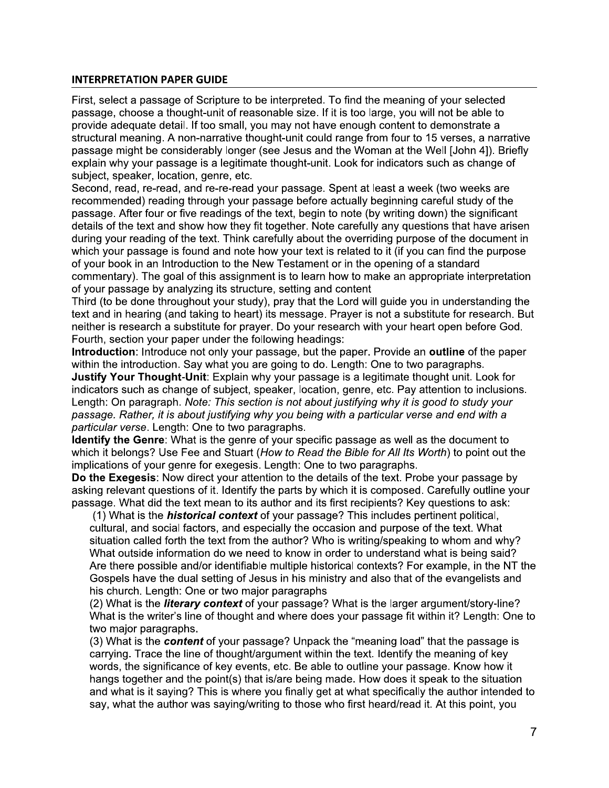### **INTERPRETATION PAPER GUIDE**

First, select a passage of Scripture to be interpreted. To find the meaning of your selected passage, choose a thought-unit of reasonable size. If it is too large, you will not be able to provide adequate detail. If too small, you may not have enough content to demonstrate a structural meaning. A non-narrative thought-unit could range from four to 15 verses, a narrative passage might be considerably longer (see Jesus and the Woman at the Well [John 4]). Briefly explain why your passage is a legitimate thought-unit. Look for indicators such as change of subject, speaker, location, genre, etc.

Second, read, re-read, and re-re-read your passage. Spent at least a week (two weeks are recommended) reading through your passage before actually beginning careful study of the passage. After four or five readings of the text, begin to note (by writing down) the significant details of the text and show how they fit together. Note carefully any questions that have arisen during your reading of the text. Think carefully about the overriding purpose of the document in which your passage is found and note how your text is related to it (if you can find the purpose of your book in an Introduction to the New Testament or in the opening of a standard commentary). The goal of this assignment is to learn how to make an appropriate interpretation of your passage by analyzing its structure, setting and content

Third (to be done throughout your study), pray that the Lord will guide you in understanding the text and in hearing (and taking to heart) its message. Prayer is not a substitute for research. But neither is research a substitute for prayer. Do your research with your heart open before God. Fourth, section your paper under the following headings:

Introduction: Introduce not only your passage, but the paper. Provide an outline of the paper within the introduction. Say what you are going to do. Length: One to two paragraphs.

Justify Your Thought-Unit: Explain why your passage is a legitimate thought unit. Look for indicators such as change of subject, speaker, location, genre, etc. Pay attention to inclusions. Length: On paragraph. Note: This section is not about justifying why it is good to study your passage. Rather, it is about justifying why you being with a particular verse and end with a particular verse. Length: One to two paragraphs.

**Identify the Genre:** What is the genre of your specific passage as well as the document to which it belongs? Use Fee and Stuart (How to Read the Bible for All Its Worth) to point out the implications of your genre for exegesis. Length: One to two paragraphs.

Do the Exegesis: Now direct your attention to the details of the text. Probe your passage by asking relevant questions of it. Identify the parts by which it is composed. Carefully outline your passage. What did the text mean to its author and its first recipients? Key questions to ask:

(1) What is the *historical context* of your passage? This includes pertinent political, cultural, and social factors, and especially the occasion and purpose of the text. What situation called forth the text from the author? Who is writing/speaking to whom and why? What outside information do we need to know in order to understand what is being said? Are there possible and/or identifiable multiple historical contexts? For example, in the NT the Gospels have the dual setting of Jesus in his ministry and also that of the evangelists and his church. Length: One or two major paragraphs

(2) What is the *literary context* of your passage? What is the larger argument/story-line? What is the writer's line of thought and where does your passage fit within it? Length: One to two major paragraphs.

(3) What is the **content** of your passage? Unpack the "meaning load" that the passage is carrying. Trace the line of thought/argument within the text. Identify the meaning of key words, the significance of key events, etc. Be able to outline your passage. Know how it hangs together and the point(s) that is/are being made. How does it speak to the situation and what is it saying? This is where you finally get at what specifically the author intended to say, what the author was saying/writing to those who first heard/read it. At this point, you